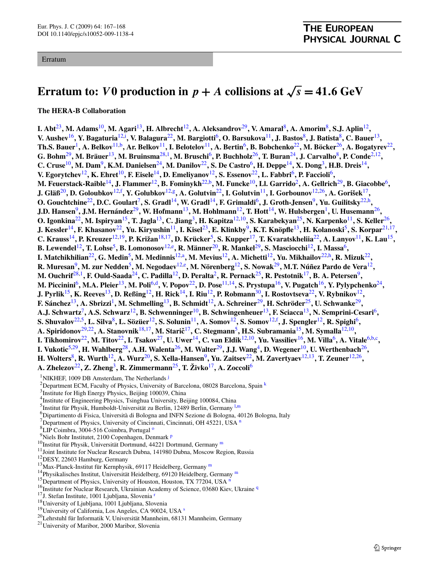## Erratum

## **Erratum to:** *V* **0** production in  $p + A$  collisions at  $\sqrt{s} = 41.6$  GeV

**The HERA-B Collaboration**

**I. Abt**[23](#page-1-0)**, M. Adams**10**, M. Agari**13**, H. Albrecht**12**, A. Aleksandrov**[29](#page-1-0)**, V. Amaral**8**, A. Amorim**8**, S.J. Aplin**12**, V. Aushev**16**, Y. Bagaturia**12,[i](#page-1-0) **, V. Balagura**[22](#page-1-0)**, M. Bargiotti**6**, O. Barsukova**11**, J. Bastos**8**, J. Batista**8**, C. Bauer**13**, Th.S. Bauer**1**, A. Belkov**11[,b](#page-1-0)**, Ar. Belkov**11**, I. Belotelov**11**, A. Bertin**6**, B. Bobchenko**[22](#page-1-0)**, M. Böcker**[26](#page-1-0)**, A. Bogatyrev**[22](#page-1-0)**, G. Bohm**[29](#page-1-0)**, M. Bräuer**13**, M. Bruinsma**[28,](#page-1-0)1**, M. Bruschi**6**, P. Buchholz**[26](#page-1-0)**, T. Buran**[24](#page-1-0)**, J. Carvalho**8**, P. Conde**2,12**, C. Cruse**<sup>10</sup>, M. Dam<sup>9</sup>, K.M. Danielsen<sup>[24](#page-1-0)</sup>, M. Danilov<sup>[22](#page-1-0)</sup>, S. De Castro<sup>6</sup>, H. Deppe<sup>14</sup>, X. Dong<sup>3</sup>, H.B. Dreis<sup>14</sup>, **V. Egorytchev**12**, K. Ehret**10**, F. Eisele**14**, D. Emeliyanov**12**, S. Essenov**[22](#page-1-0)**, L. Fabbri**6**, P. Faccioli**6**, M. Feuerstack-Raible**14**, J. Flammer**12**, B. Fominykh**[22,b](#page-1-0)**, M. Funcke**10**, Ll. Garrido**2**, A. Gellrich**[29](#page-1-0)**, B. Giacobbe**6**, J. Gläß**20**, D. Goloubkov**12,[f](#page-1-0) **, Y. Golubkov**12[,g](#page-1-0)**, A. Golutvin**[22](#page-1-0)**, I. Golutvin**11**, I. Gorbounov**12[,26](#page-1-0)**, A. Gorišek**17**, O. Gouchtchine**[22](#page-1-0)**, D.C. Goulart**7**, S. Gradl**14**, W. Gradl**14**, F. Grimaldi**6**, J. Groth-Jensen**9**, Yu. Guilitsky**[22](#page-1-0),[h](#page-1-0)**, J.D. Hansen**9**, J.M. Hernández**[29](#page-1-0)**, W. Hofmann**13**, M. Hohlmann**12**, T. Hott**14**, W. Hulsbergen**1**, U. Husemann**[26](#page-1-0)**, O. Igonkina**[22](#page-1-0)**, M. Ispiryan**15**, T. Jagla**13**, C. Jiang**3**, H. Kapitza**12,10**, S. Karabekyan**[25](#page-1-0)**, N. Karpenko**11**, S. Keller**[26](#page-1-0)**, J. Kessler**14**, F. Khasanov**[22](#page-1-0)**, Yu. Kiryushin**11**, I. Kisel**[23](#page-1-0)**, E. Klinkby**9**, K.T. Knöpfle**13**, H. Kolanoski**5**, S. Korpar**21,17**, C. Krauss**14**, P. Kreuzer**12,19**, P. Križan**18,17**, D. Krücker**5**, S. Kupper**17**, T. Kvaratskheliia**[22](#page-1-0)**, A. Lanyov**11**, K. Lau**15**, B. Lewendel**12**, T. Lohse**5**, B. Lomonosov**12[,e](#page-1-0)**, R. Männer**20**, R. Mankel**[29](#page-1-0)**, S. Masciocchi**12**, I. Massa**6**, I. Matchikhilian**[22](#page-1-0)**, G. Medin**5**, M. Medinnis**12[,a](#page-1-0)**, M. Mevius**12**, A. Michetti**12**, Yu. Mikhailov**[22,h](#page-1-0)**, R. Mizuk**[22](#page-1-0)**, R. Muresan**9**, M. zur Nedden**5**, M. Negodaev**12,[e](#page-1-0)**, M. Nörenberg**12**, S. Nowak**[29](#page-1-0)**, M.T. Núñez Pardo de Vera**12**, M. Ouchrif**[28,](#page-1-0)1**, F. Ould-Saada**[24](#page-1-0)**, C. Padilla**12**, D. Peralta**2**, R. Pernack**[25](#page-1-0)**, R. Pestotnik**17**, B. A. Petersen**9**, M. Piccinini**6**, M.A. Pleier**13**, M. Poli**6[,d](#page-1-0)**, V. Popov**[22](#page-1-0)**, D. Pose**11,14**, S. Prystupa**16**, V. Pugatch**16**, Y. Pylypchenko**[24](#page-1-0)**, J. Pyrlik**15**, K. Reeves**13**, D. Reßing**12**, H. Rick**14**, I. Riu**12**, P. Robmann**[30](#page-1-0)**, I. Rostovtseva**[22](#page-1-0)**, V. Rybnikov**12**, F. Sánchez**13**, A. Sbrizzi**1**, M. Schmelling**13**, B. Schmidt**12**, A. Schreiner**[29](#page-1-0)**, H. Schröder**[25](#page-1-0)**, U. Schwanke**[29](#page-1-0)**, A.J. Schwartz**7**, A.S. Schwarz**12**, B. Schwenninger**10**, B. Schwingenheuer**13**, F. Sciacca**13**, N. Semprini-Cesari**6**, S. Shuvalov**[22](#page-1-0),5**, L. Silva**8**, L. Sözüer**12**, S. Solunin**11**, A. Somov**12**, S. Somov**12,[f](#page-1-0) **, J. Spengler**12**, R. Spighi**6**, A. Spiridonov**[29,22](#page-1-0)**, A. Stanovnik**18,17**, M. Staricˇ**17**, C. Stegmann**5**, H.S. Subramania**15**, M. Symalla**12,10**, I. Tikhomirov**[22](#page-1-0)**, M. Titov**[22](#page-1-0)**, I. Tsakov**[27](#page-1-0)**, U. Uwer**14**, C. van Eldik**12,10**, Yu. Vassiliev**16**, M. Villa**6**, A. Vitale**6,[b,c](#page-1-0)**, I. Vukotic**5[,29](#page-1-0)**, H. Wahlberg**[28](#page-1-0)**, A.H. Walenta**[26](#page-1-0)**, M. Walter**[29](#page-1-0)**, J.J. Wang**4**, D. Wegener**10**, U. Werthenbach**[26](#page-1-0)**, H. Wolters**8**, R. Wurth**12**, A. Wurz**20**, S. Xella-Hansen**9**, Yu. Zaitsev**[22](#page-1-0)**, M. Zavertyaev**12,13**, T. Zeuner**12[,26](#page-1-0)**, A. Zhelezov**[22](#page-1-0)**, Z. Zheng**3**, R. Zimmermann**[25](#page-1-0)**, T. Živko**17**, A. Zoccoli**<sup>6</sup>

<sup>1</sup>NIKHEF, 1009 DB Amsterdam, The Netherlands<sup>[j](#page-1-0)</sup>

- <sup>3</sup> Institute for High Energy Physics, Beijing 100039, China
- <sup>4</sup>Institute of Engineering Physics, Tsinghu[a](#page-1-0) University, Beijing 100084, China
- <sup>5</sup>Institut für Physik, Hu[m](#page-1-0)boldt-Universität zu Berlin, 12489 Berlin, Germany<sup>1,m</sup>
- 6 Dipartimento di Fisica, Università di Bologna and INFN Sezione di Bologna, [40](#page-1-0)126 Bologna, Italy
- <sup>7</sup>Department of Physics, University of Cinci[nn](#page-1-0)ati, Cincinnati, OH 45221, USA<sup>n</sup>
- <sup>8</sup>LIP Coimbra, 3004-516 Coimbra, Portugal<sup>o</sup>
- <su[p](#page-1-0)>9</sup>Niels Bohr Institutet, 2100 Copenhagen, Denmark P
- <sup>10</sup>Institut für Physik, Universität Dort[m](#page-1-0)und, 44221 Dortmund, Germany m
- <sup>11</sup>Joint Institute for Nuclear Research Dubna, 141980 Dubna, Moscow Region, Russia <sup>12</sup>DESY, 22603 Ha[m](#page-1-0)burg, Germany 13Max-Planck-Institut für Kernphysik, 69117 Heidelberg, Germany <sup>m</sup>
- 
- 
- <sup>14</sup>Physikalisches Institut, Universität Heidelberg, 69120 Heidelberg, Germa[ny](#page-1-0)<sup>[m](#page-1-0)</sup>
- <sup>15</sup>Department of Physics, University of Houston, Houston, TX 77204, USA<sup>n</sup>
- <sup>16</sup>Institute for Nuclear Research, Ukrainian A[ca](#page-1-0)demy of Science, 03680 Kiev, Ukraine <sup>[q](#page-1-0)</sup>
- <sup>17</sup>J. Stefan Institute, 1001 Ljubljana, Slovenia <sup>r</sup><br><sup>18</sup>University of Ljubljana, 1001 Ljubljana, Slovenia
- 
- <[s](#page-1-0)up>19</sup>University of California, Los Angeles, CA 90024, USA s
- <sup>20</sup>Lehrstuhl für Informatik V, Universität Mannheim, 68131 Mannheim, Germany <sup>21</sup>University of Maribor, 2000 Maribor, Slovenia
- 

<sup>&</sup>lt;sup>2</sup> Department ECM, Faculty of Physics, University of Barcelona, 08028 Barcelona, Spain  $^k$  $^k$